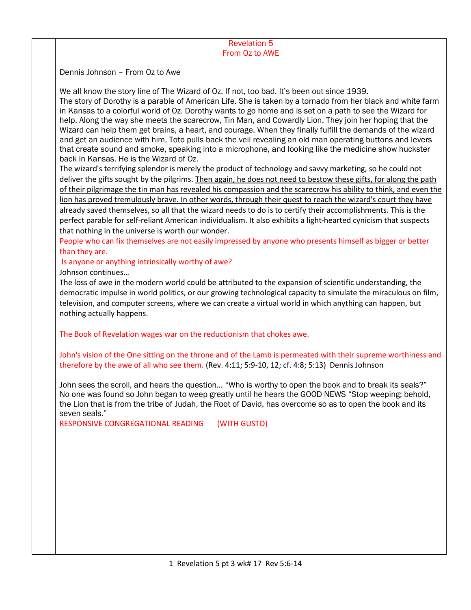## Revelation 5 From Oz to AWE

Dennis Johnson – From Oz to Awe

We all know the story line of The Wizard of Oz. If not, too bad. It's been out since 1939.

The story of Dorothy is a parable of American Life. She is taken by a tornado from her black and white farm in Kansas to a colorful world of Oz. Dorothy wants to go home and is set on a path to see the Wizard for help. Along the way she meets the scarecrow, Tin Man, and Cowardly Lion. They join her hoping that the Wizard can help them get brains, a heart, and courage. When they finally fulfill the demands of the wizard and get an audience with him, Toto pulls back the veil revealing an old man operating buttons and levers that create sound and smoke, speaking into a microphone, and looking like the medicine show huckster back in Kansas. He is the Wizard of Oz.

The wizard's terrifying splendor is merely the product of technology and savvy marketing, so he could not deliver the gifts sought by the pilgrims. Then again, he does not need to bestow these gifts, for along the path of their pilgrimage the tin man has revealed his compassion and the scarecrow his ability to think, and even the lion has proved tremulously brave. In other words, through their quest to reach the wizard's court they have already saved themselves, so all that the wizard needs to do is to certify their accomplishments. This is the perfect parable for self-reliant American individualism. It also exhibits a light-hearted cynicism that suspects that nothing in the universe is worth our wonder.

People who can fix themselves are not easily impressed by anyone who presents himself as bigger or better than they are.

Is anyone or anything intrinsically worthy of awe? Johnson continues…

The loss of awe in the modern world could be attributed to the expansion of scientific understanding, the democratic impulse in world politics, or our growing technological capacity to simulate the miraculous on film, television, and computer screens, where we can create a virtual world in which anything can happen, but nothing actually happens.

The Book of Revelation wages war on the reductionism that chokes awe.

John's vision of the One sitting on the throne and of the Lamb is permeated with their supreme worthiness and therefore by the awe of all who see them. (Rev. 4:11; 5:9-10, 12; cf. 4:8; 5:13) Dennis Johnson

John sees the scroll, and hears the question… "Who is worthy to open the book and to break its seals?" No one was found so John began to weep greatly until he hears the GOOD NEWS "Stop weeping; behold, the Lion that is from the tribe of Judah, the Root of David, has overcome so as to open the book and its seven seals."

RESPONSIVE CONGREGATIONAL READING (WITH GUSTO)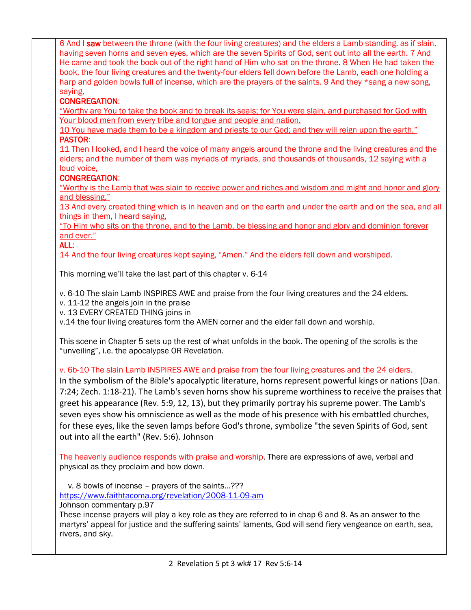6 And I saw between the throne (with the four living creatures) and the elders a Lamb standing, as if slain, having seven horns and seven eyes, which are the seven Spirits of God, sent out into all the earth. 7 And He came and took the book out of the right hand of Him who sat on the throne. 8 When He had taken the book, the four living creatures and the twenty-four elders fell down before the Lamb, each one holding a harp and golden bowls full of incense, which are the prayers of the saints. 9 And they \*sang a new song, saying, CONGREGATION: "Worthy are You to take the book and to break its seals; for You were slain, and purchased for God with Your blood men from every tribe and tongue and people and nation. 10 You have made them to be a kingdom and priests to our God; and they will reign upon the earth." PASTOR: 11 Then I looked, and I heard the voice of many angels around the throne and the living creatures and the elders; and the number of them was myriads of myriads, and thousands of thousands, 12 saying with a loud voice, CONGREGATION: "Worthy is the Lamb that was slain to receive power and riches and wisdom and might and honor and glory and blessing." 13 And every created thing which is in heaven and on the earth and under the earth and on the sea, and all things in them, I heard saying, "To Him who sits on the throne, and to the Lamb, be blessing and honor and glory and dominion forever and ever." ALL: 14 And the four living creatures kept saying, "Amen." And the elders fell down and worshiped. This morning we'll take the last part of this chapter v. 6-14 v. 6-10 The slain Lamb INSPIRES AWE and praise from the four living creatures and the 24 elders. v. 11-12 the angels join in the praise v. 13 EVERY CREATED THING joins in v.14 the four living creatures form the AMEN corner and the elder fall down and worship. This scene in Chapter 5 sets up the rest of what unfolds in the book. The opening of the scrolls is the "unveiling", i.e. the apocalypse OR Revelation. v. 6b-10 The slain Lamb INSPIRES AWE and praise from the four living creatures and the 24 elders. In the symbolism of the Bible's apocalyptic literature, horns represent powerful kings or nations (Dan. 7:24; Zech. 1:18-21). The Lamb's seven horns show his supreme worthiness to receive the praises that greet his appearance (Rev. 5:9, 12, 13), but they primarily portray his supreme power. The Lamb's seven eyes show his omniscience as well as the mode of his presence with his embattled churches, for these eyes, like the seven lamps before God's throne, symbolize "the seven Spirits of God, sent out into all the earth" (Rev. 5:6). Johnson The heavenly audience responds with praise and worship. There are expressions of awe, verbal and physical as they proclaim and bow down. v. 8 bowls of incense – prayers of the saints…??? <https://www.faithtacoma.org/revelation/2008-11-09-am> Johnson commentary p.97 These incense prayers will play a key role as they are referred to in chap 6 and 8. As an answer to the martyrs' appeal for justice and the suffering saints' laments, God will send fiery vengeance on earth, sea, rivers, and sky.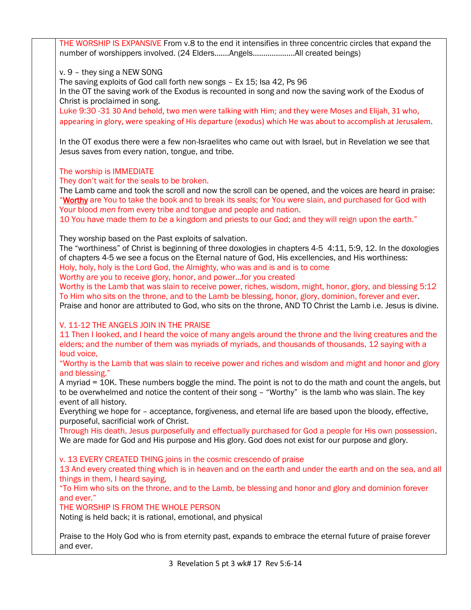THE WORSHIP IS EXPANSIVE From v.8 to the end it intensifies in three concentric circles that expand the number of worshippers involved. (24 Elders…….Angels………………..All created beings)

v. 9 – they sing a NEW SONG

The saving exploits of God call forth new songs – Ex 15; Isa 42, Ps 96

In the OT the saving work of the Exodus is recounted in song and now the saving work of the Exodus of Christ is proclaimed in song.

Luke 9:30 -31 30 And behold, two men were talking with Him; and they were Moses and Elijah, 31 who, appearing in glory, were speaking of His departure (exodus) which He was about to accomplish at Jerusalem.

In the OT exodus there were a few non-Israelites who came out with Israel, but in Revelation we see that Jesus saves from every nation, tongue, and tribe.

The worship is IMMEDIATE

They don't wait for the seals to be broken.

The Lamb came and took the scroll and now the scroll can be opened, and the voices are heard in praise: "Worthy are You to take the book and to break its seals; for You were slain, and purchased for God with Your blood *men* from every tribe and tongue and people and nation.

10 You have made them *to be* a kingdom and priests to our God; and they will reign upon the earth."

They worship based on the Past exploits of salvation.

The "worthiness" of Christ is beginning of three doxologies in chapters 4-5 4:11, 5:9, 12. In the doxologies of chapters 4-5 we see a focus on the Eternal nature of God, His excellencies, and His worthiness:

Holy, holy, holy is the Lord God, the Almighty, who was and is and is to come

Worthy are you to receive glory, honor, and power…for you created

Worthy is the Lamb that was slain to receive power, riches, wisdom, might, honor, glory, and blessing 5:12 To Him who sits on the throne, and to the Lamb be blessing, honor, glory, dominion, forever and ever. Praise and honor are attributed to God, who sits on the throne, AND TO Christ the Lamb i.e. Jesus is divine.

## V. 11-12 THE ANGELS JOIN IN THE PRAISE

11 Then I looked, and I heard the voice of many angels around the throne and the living creatures and the elders; and the number of them was myriads of myriads, and thousands of thousands, 12 saying with a loud voice,

"Worthy is the Lamb that was slain to receive power and riches and wisdom and might and honor and glory and blessing."

A myriad = 10K. These numbers boggle the mind. The point is not to do the math and count the angels, but to be overwhelmed and notice the content of their song – "Worthy" is the lamb who was slain. The key event of all history.

Everything we hope for – acceptance, forgiveness, and eternal life are based upon the bloody, effective, purposeful, sacrificial work of Christ.

Through His death, Jesus purposefully and effectually purchased for God a people for His own possession. We are made for God and His purpose and His glory. God does not exist for our purpose and glory.

v. 13 EVERY CREATED THING joins in the cosmic crescendo of praise

13 And every created thing which is in heaven and on the earth and under the earth and on the sea, and all things in them, I heard saying,

"To Him who sits on the throne, and to the Lamb, be blessing and honor and glory and dominion forever and ever."

THE WORSHIP IS FROM THE WHOLE PERSON

Noting is held back; it is rational, emotional, and physical

Praise to the Holy God who is from eternity past, expands to embrace the eternal future of praise forever and ever.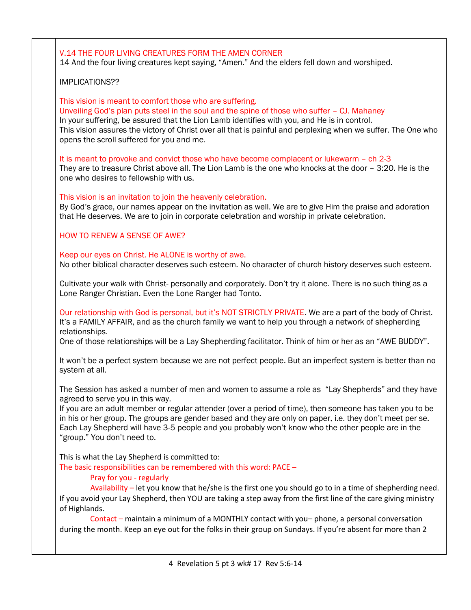## V.14 THE FOUR LIVING CREATURES FORM THE AMEN CORNER 14 And the four living creatures kept saying, "Amen." And the elders fell down and worshiped. IMPLICATIONS?? This vision is meant to comfort those who are suffering. Unveiling God's plan puts steel in the soul and the spine of those who suffer – CJ. Mahaney In your suffering, be assured that the Lion Lamb identifies with you, and He is in control. This vision assures the victory of Christ over all that is painful and perplexing when we suffer. The One who opens the scroll suffered for you and me. It is meant to provoke and convict those who have become complacent or lukewarm – ch 2-3 They are to treasure Christ above all. The Lion Lamb is the one who knocks at the door – 3:20. He is the one who desires to fellowship with us. This vision is an invitation to join the heavenly celebration. By God's grace, our names appear on the invitation as well. We are to give Him the praise and adoration that He deserves. We are to join in corporate celebration and worship in private celebration. HOW TO RENEW A SENSE OF AWE? Keep our eyes on Christ. He ALONE is worthy of awe. No other biblical character deserves such esteem. No character of church history deserves such esteem. Cultivate your walk with Christ- personally and corporately. Don't try it alone. There is no such thing as a Lone Ranger Christian. Even the Lone Ranger had Tonto. Our relationship with God is personal, but it's NOT STRICTLY PRIVATE. We are a part of the body of Christ. It's a FAMILY AFFAIR, and as the church family we want to help you through a network of shepherding relationships. One of those relationships will be a Lay Shepherding facilitator. Think of him or her as an "AWE BUDDY". It won't be a perfect system because we are not perfect people. But an imperfect system is better than no system at all. The Session has asked a number of men and women to assume a role as "Lay Shepherds" and they have agreed to serve you in this way. If you are an adult member or regular attender (over a period of time), then someone has taken you to be in his or her group. The groups are gender based and they are only on paper, i.e. they don't meet per se. Each Lay Shepherd will have 3-5 people and you probably won't know who the other people are in the "group." You don't need to. This is what the Lay Shepherd is committed to: The basic responsibilities can be remembered with this word: PACE – Pray for you - regularly Availability – let you know that he/she is the first one you should go to in a time of shepherding need. If you avoid your Lay Shepherd, then YOU are taking a step away from the first line of the care giving ministry of Highlands. Contact – maintain a minimum of a MONTHLY contact with you– phone, a personal conversation during the month. Keep an eye out for the folks in their group on Sundays. If you're absent for more than 2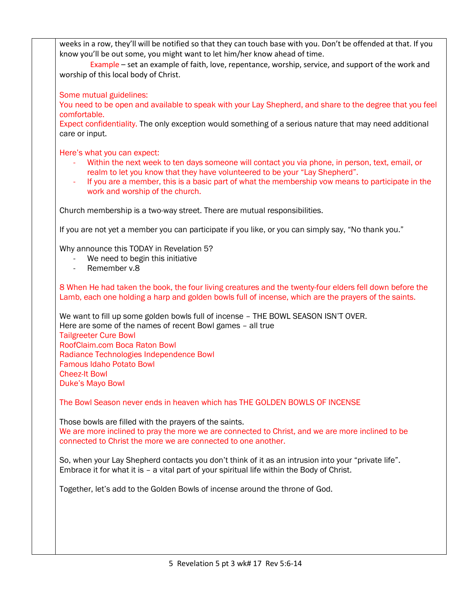weeks in a row, they'll will be notified so that they can touch base with you. Don't be offended at that. If you know you'll be out some, you might want to let him/her know ahead of time.

 Example – set an example of faith, love, repentance, worship, service, and support of the work and worship of this local body of Christ.

Some mutual guidelines:

You need to be open and available to speak with your Lay Shepherd, and share to the degree that you feel comfortable.

Expect confidentiality. The only exception would something of a serious nature that may need additional care or input.

Here's what you can expect:

- Within the next week to ten days someone will contact you via phone, in person, text, email, or realm to let you know that they have volunteered to be your "Lay Shepherd".
- If you are a member, this is a basic part of what the membership vow means to participate in the work and worship of the church.

Church membership is a two-way street. There are mutual responsibilities.

If you are not yet a member you can participate if you like, or you can simply say, "No thank you."

Why announce this TODAY in Revelation 5?

- We need to begin this initiative
- Remember v.8

8 When He had taken the book, the four living creatures and the twenty-four elders fell down before the Lamb, each one holding a harp and golden bowls full of incense, which are the prayers of the saints.

We want to fill up some golden bowls full of incense – THE BOWL SEASON ISN'T OVER. Here are some of the names of recent Bowl games – all true Tailgreeter Cure Bowl RoofClaim.com Boca Raton Bowl Radiance Technologies Independence Bowl Famous Idaho Potato Bowl Cheez-It Bowl Duke's Mayo Bowl

The Bowl Season never ends in heaven which has THE GOLDEN BOWLS OF INCENSE

Those bowls are filled with the prayers of the saints. We are more inclined to pray the more we are connected to Christ, and we are more inclined to be connected to Christ the more we are connected to one another.

So, when your Lay Shepherd contacts you don't think of it as an intrusion into your "private life". Embrace it for what it is – a vital part of your spiritual life within the Body of Christ.

Together, let's add to the Golden Bowls of incense around the throne of God.